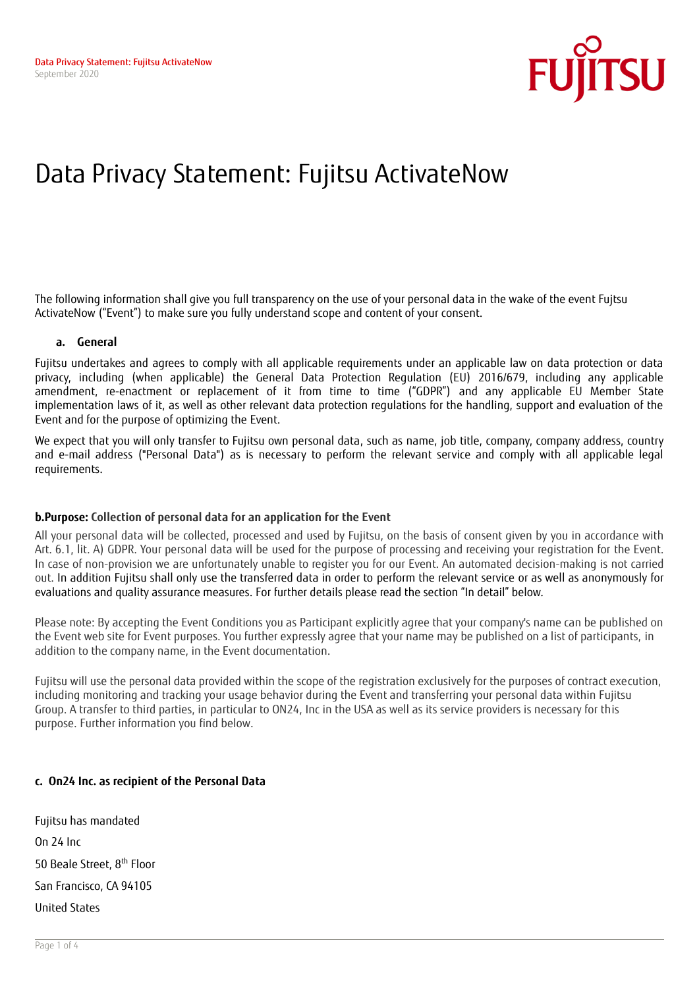

# Data Privacy Statement: Fujitsu ActivateNow

The following information shall give you full transparency on the use of your personal data in the wake of the event Fujtsu ActivateNow ("Event") to make sure you fully understand scope and content of your consent.

#### **a. General**

Fujitsu undertakes and agrees to comply with all applicable requirements under an applicable law on data protection or data privacy, including (when applicable) the General Data Protection Regulation (EU) 2016/679, including any applicable amendment, re-enactment or replacement of it from time to time ("GDPR") and any applicable EU Member State implementation laws of it, as well as other relevant data protection regulations for the handling, support and evaluation of the Event and for the purpose of optimizing the Event.

We expect that you will only transfer to Fujitsu own personal data, such as name, job title, company, company address, country and e-mail address ("Personal Data") as is necessary to perform the relevant service and comply with all applicable legal requirements.

## **b.Purpose: Collection of personal data for an application for the Event**

All your personal data will be collected, processed and used by Fujitsu, on the basis of consent given by you in accordance with Art. 6.1, lit. A) GDPR. Your personal data will be used for the purpose of processing and receiving your registration for the Event. In case of non-provision we are unfortunately unable to register you for our Event. An automated decision-making is not carried out. In addition Fujitsu shall only use the transferred data in order to perform the relevant service or as well as anonymously for evaluations and quality assurance measures. For further details please read the section "In detail" below.

Please note: By accepting the Event Conditions you as Participant explicitly agree that your company's name can be published on the Event web site for Event purposes. You further expressly agree that your name may be published on a list of participants, in addition to the company name, in the Event documentation.

Fujitsu will use the personal data provided within the scope of the registration exclusively for the purposes of contract execution, including monitoring and tracking your usage behavior during the Event and transferring your personal data within Fujitsu Group. A transfer to third parties, in particular to ON24, Inc in the USA as well as its service providers is necessary for this purpose. Further information you find below.

## **c. On24 Inc. as recipient of the Personal Data**

Fujitsu has mandated On 24 Inc 50 Beale Street, 8<sup>th</sup> Floor San Francisco, CA 94105 United States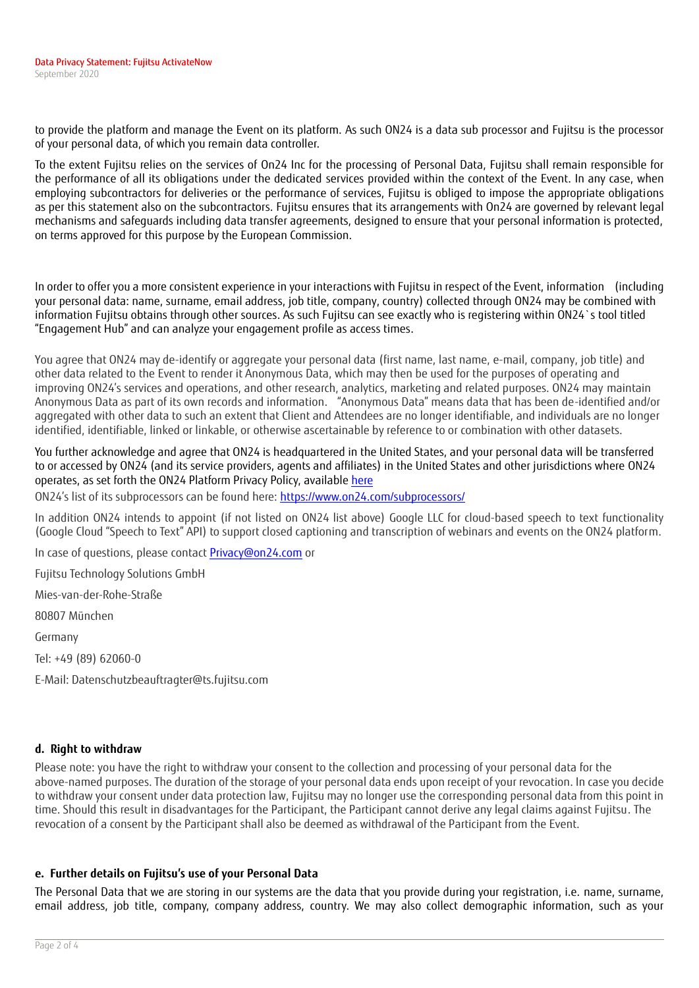to provide the platform and manage the Event on its platform. As such ON24 is a data sub processor and Fujitsu is the processor of your personal data, of which you remain data controller.

To the extent Fujitsu relies on the services of On24 Inc for the processing of Personal Data, Fujitsu shall remain responsible for the performance of all its obligations under the dedicated services provided within the context of the Event. In any case, when employing subcontractors for deliveries or the performance of services, Fujitsu is obliged to impose the appropriate obligations as per this statement also on the subcontractors. Fujitsu ensures that its arrangements with On24 are governed by relevant legal mechanisms and safeguards including data transfer agreements, designed to ensure that your personal information is protected, on terms approved for this purpose by the European Commission.

In order to offer you a more consistent experience in your interactions with Fujitsu in respect of the Event, information (including your personal data: name, surname, email address, job title, company, country) collected through ON24 may be combined with information Fujitsu obtains through other sources. As such Fujitsu can see exactly who is registering within ON24`s tool titled "Engagement Hub" and can analyze your engagement profile as access times.

You agree that ON24 may de-identify or aggregate your personal data (first name, last name, e-mail, company, job title) and other data related to the Event to render it Anonymous Data, which may then be used for the purposes of operating and improving ON24's services and operations, and other research, analytics, marketing and related purposes. ON24 may maintain Anonymous Data as part of its own records and information. "Anonymous Data" means data that has been de-identified and/or aggregated with other data to such an extent that Client and Attendees are no longer identifiable, and individuals are no longer identified, identifiable, linked or linkable, or otherwise ascertainable by reference to or combination with other datasets.

You further acknowledge and agree that ON24 is headquartered in the United States, and your personal data will be transferred to or accessed by ON24 (and its service providers, agents and affiliates) in the United States and other jurisdictions where ON24 operates, as set forth the ON24 Platform Privacy Policy, available [here](https://www.on24.com/privacy-policy/)

ON24's list of its subprocessors can be found here: [https://www.on24.com/subprocessors/](https://info.on24.com/o039C00TY00uRA1O3NHy7b0)

In addition ON24 intends to appoint (if not listed on ON24 list above) Google LLC for cloud-based speech to text functionality (Google Cloud "Speech to Text" API) to support closed captioning and transcription of webinars and events on the ON24 platform.

In case of questions, please contac[t Privacy@on24.com](mailto:Privacy@on24.com) or

Fujitsu Technology Solutions GmbH

Mies-van-der-Rohe-Straße

80807 München

Germany

Tel: +49 (89) 62060-0

E-Mail: Datenschutzbeauftragter@ts.fujitsu.com

# **d. Right to withdraw**

Please note: you have the right to withdraw your consent to the collection and processing of your personal data for the above-named purposes. The duration of the storage of your personal data ends upon receipt of your revocation. In case you decide to withdraw your consent under data protection law, Fujitsu may no longer use the corresponding personal data from this point in time. Should this result in disadvantages for the Participant, the Participant cannot derive any legal claims against Fujitsu. The revocation of a consent by the Participant shall also be deemed as withdrawal of the Participant from the Event.

# **e. Further details on Fujitsu's use of your Personal Data**

The Personal Data that we are storing in our systems are the data that you provide during your registration, i.e. name, surname, email address, job title, company, company address, country. We may also collect demographic information, such as your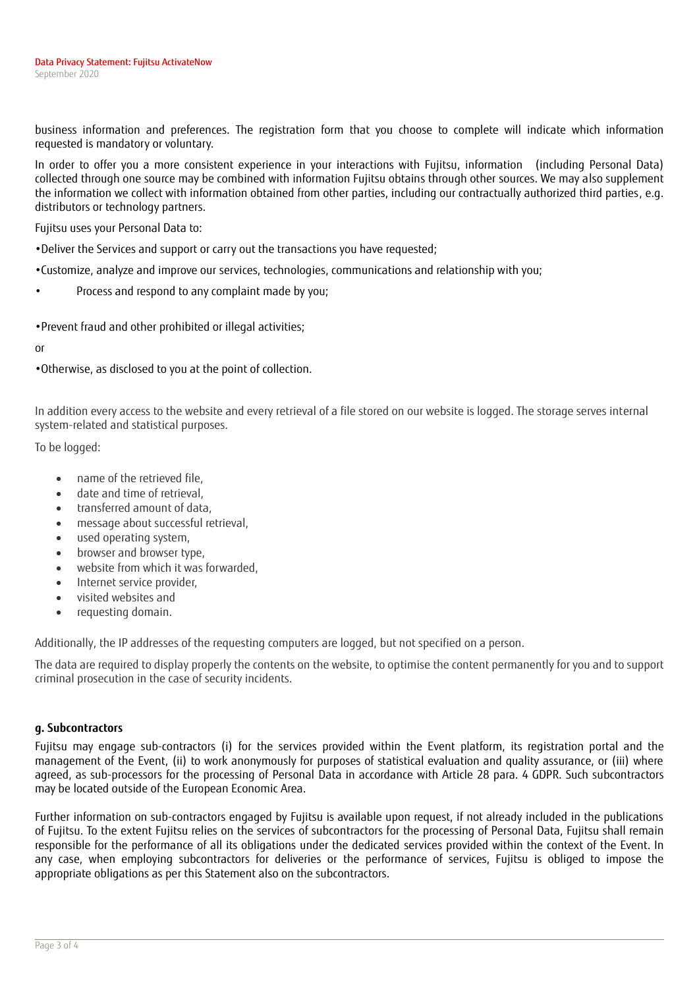business information and preferences. The registration form that you choose to complete will indicate which information requested is mandatory or voluntary.

In order to offer you a more consistent experience in your interactions with Fujitsu, information (including Personal Data) collected through one source may be combined with information Fujitsu obtains through other sources. We may also supplement the information we collect with information obtained from other parties, including our contractually authorized third parties, e.g. distributors or technology partners.

Fujitsu uses your Personal Data to:

- •Deliver the Services and support or carry out the transactions you have requested;
- •Customize, analyze and improve our services, technologies, communications and relationship with you;
- Process and respond to any complaint made by you;

•Prevent fraud and other prohibited or illegal activities;

or

•Otherwise, as disclosed to you at the point of collection.

In addition every access to the website and every retrieval of a file stored on our website is logged. The storage serves internal system-related and statistical purposes.

To be logged:

- name of the retrieved file.
- date and time of retrieval,
- transferred amount of data,
- message about successful retrieval,
- used operating system,
- browser and browser type,
- website from which it was forwarded,
- Internet service provider,
- visited websites and
- requesting domain.

Additionally, the IP addresses of the requesting computers are logged, but not specified on a person.

The data are required to display properly the contents on the website, to optimise the content permanently for you and to support criminal prosecution in the case of security incidents.

## **g. Subcontractors**

Fujitsu may engage sub-contractors (i) for the services provided within the Event platform, its registration portal and the management of the Event, (ii) to work anonymously for purposes of statistical evaluation and quality assurance, or (iii) where agreed, as sub-processors for the processing of Personal Data in accordance with Article 28 para. 4 GDPR. Such subcontractors may be located outside of the European Economic Area.

Further information on sub-contractors engaged by Fujitsu is available upon request, if not already included in the publications of Fujitsu. To the extent Fujitsu relies on the services of subcontractors for the processing of Personal Data, Fujitsu shall remain responsible for the performance of all its obligations under the dedicated services provided within the context of the Event. In any case, when employing subcontractors for deliveries or the performance of services, Fujitsu is obliged to impose the appropriate obligations as per this Statement also on the subcontractors.